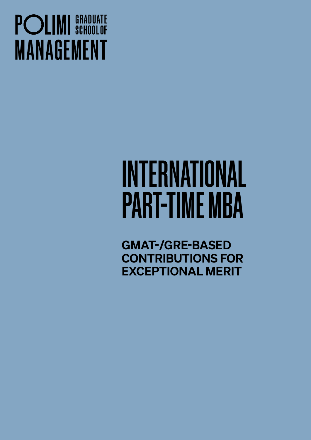## **POLIMI** SCHOOLOF **MANAGEMENT**

# INTERNATIONAL PART-TIME MBA

GMAT-/GRE-BASED CONTRIBUTIONS FOR EXCEPTIONAL MERIT